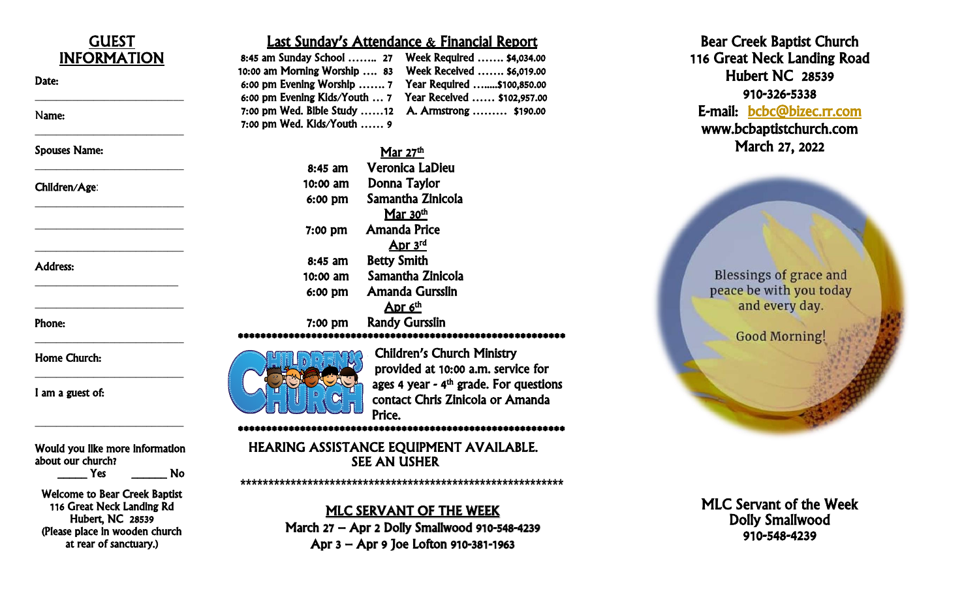

Hubert, NC 28539 (Please place in wooden church at rear of sanctuary.)

#### MLC SERVANT OF THE WEEK

March 27 – Apr 2 Dolly Smallwood 910 -548 -4239 Apr 3 – Apr 9 Joe Lofton 910 -381 -1963

MLC Servant of the Week Dolly Smallwood 910 -548 -4239

Bear Cree k Baptist Church 116 Great Neck Landing Road Hubert NC 28539

-5338 E-mail: [bcbc@bizec.rr.com](mailto:bcbc@bizec.rr.com) 

www .bcbaptistchurch.com March 2 7, 2022

Blessings of grace and peace be with you today and every day.

**Good Morning!** 

910 -326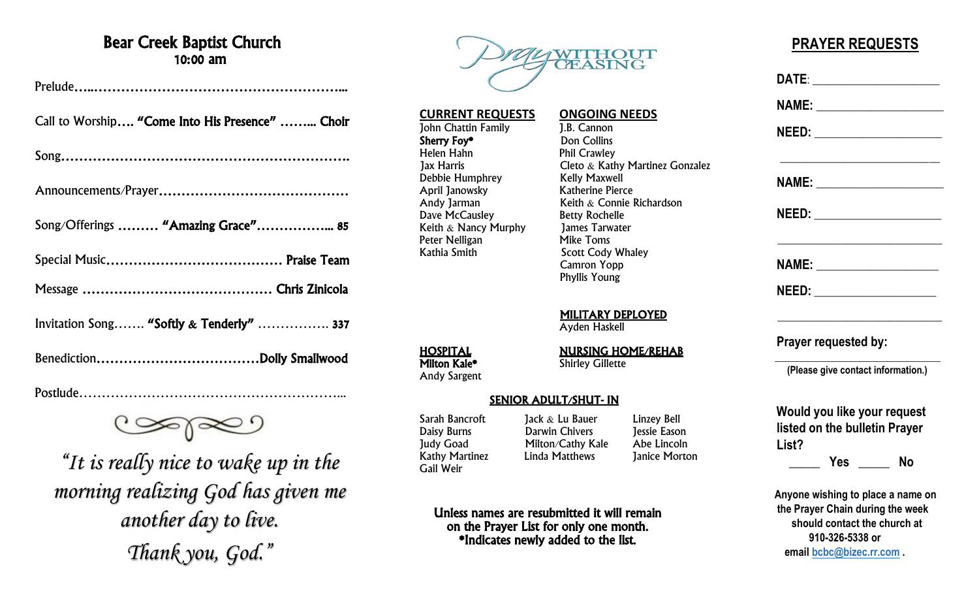### Bear Creek Baptist Church 10:00 am

| Call to Worship "Come Into His Presence"  Choir |
|-------------------------------------------------|
|                                                 |
|                                                 |
| Song/Offerings  "Amazing Grace" 85              |
|                                                 |
|                                                 |
| Invitation Song "Softly & Tenderly"  337        |
|                                                 |

Postlude…………………………………………………...

*"It is really nice to wake up in the morning realizing God has given me another day to live. Thank you, God."*



# **CURRENT REQUESTS ONGOING NEEDS**<br> **ONGOING NEEDS ONGOING NEEDS ONGOING NEEDS**

John Chattin Family **J.B. Cannon**<br> **Sherry Fov\*** Don Collins Helen Hahn **Phil Crawley**<br>1ax Harris **Phil Cleto & Katl** Cleto  $\&$  Kathy Martinez Gonzalez<br>Kelly Maxwell Debbie Humphrey<br>
April Janowsky<br>
Katherine Pierce Keith  $\&$  Connie Richardson Dave McCausley Betty Rochelle Keith & Nancy Murphy James Tarwater Peter Nelligan Mike Toms Kathia Smith Scott Cody Whaley Camron Yopp Phyllis Young

MILITARY DEPLOYED

Ayden Haskell

**HOSPITAL**<br>
Milton Kale\* Shirley Gillette<br>
Shirley Gillette

#### SENIOR ADULT/SHUT- IN

Unless names are resubmitted it will remain on the Prayer List for only one month. \*Indicates newly added to the list.

Gail Weir

**Sherry Foy\***<br>Helen Hahn

April Janowsky<br>Andy Jarman

Sarah Bancroft Jack & Lu Bauer Linzey Bell<br>Daisy Burns Darwin Chivers Dessie Eason Daisy Burns **Darwin Chivers** Jessie Eason<br>
Judy Goad Milton/Cathy Kale Abe Lincoln Milton/Cathy Kale<br>Linda Matthews Kathy Martinez Linda Matthews Janice Morton

### **PRAYER REQUESTS**

|       | DATE: _______________________      |           |
|-------|------------------------------------|-----------|
|       | NAME: _______________________      |           |
|       |                                    |           |
|       |                                    |           |
|       | NEED: _______________________      |           |
|       |                                    |           |
|       | NEED: ___________________          |           |
|       | Prayer requested by:               |           |
|       | (Please give contact information.) |           |
|       | Would you like your request        |           |
| List? | listed on the bulletin Prayer      |           |
|       | ______ Yes _____                   | <b>No</b> |
|       | Anyone wishing to place a name on  |           |
|       | the Prayer Chain during the week   |           |
|       | should contact the church at       |           |

**910-326-5338 or email [bcbc@bizec.rr.com](mailto:bcbc@bizec.rr.com) .**

Andy Sargent

# **Shirley Gillette**